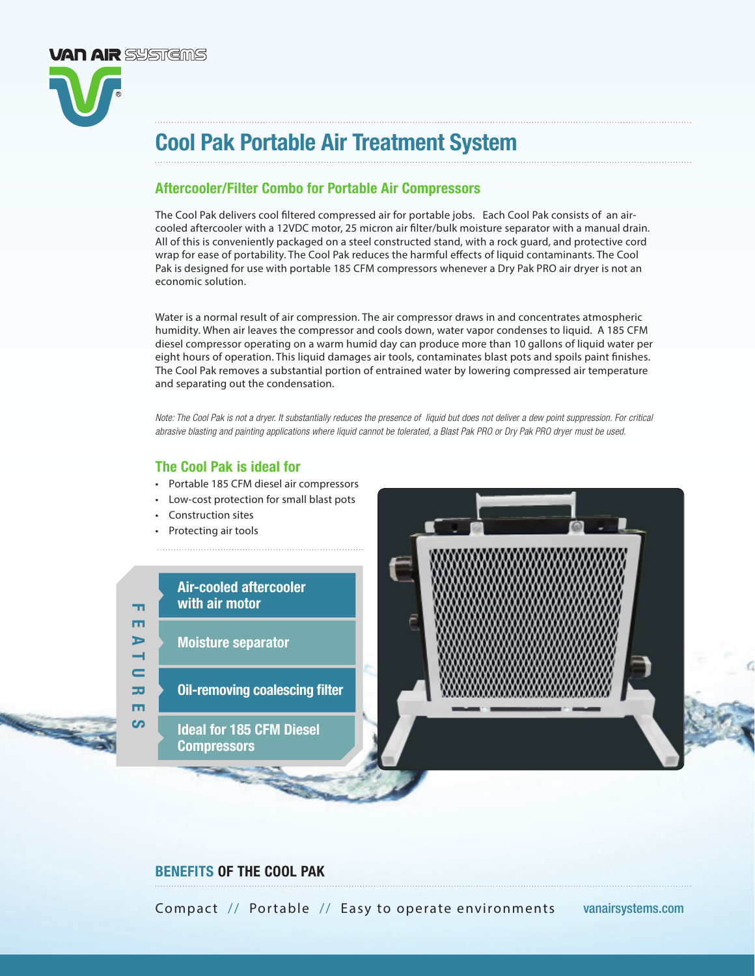

# Cool Pak Portable Air Treatment System

### Aftercooler/Filter Combo for Portable Air Compressors

The Cool Pak delivers cool filtered compressed air for portable jobs. Each Cool Pak consists of an aircooled aftercooler with a 12VDC motor, 25 micron air filter/bulk moisture separator with a manual drain. All of this is conveniently packaged on a steel constructed stand, with a rock guard, and protective cord wrap for ease of portability. The Cool Pak reduces the harmful effects of liquid contaminants. The Cool Pak is designed for use with portable 185 CFM compressors whenever a Dry Pak PRO air dryer is not an economic solution.

Water is a normal result of air compression. The air compressor draws in and concentrates atmospheric humidity. When air leaves the compressor and cools down, water vapor condenses to liquid. A 185 CFM diesel compressor operating on a warm humid day can produce more than 10 gallons of liquid water per eight hours of operation. This liquid damages air tools, contaminates blast pots and spoils paint finishes. The Cool Pak removes a substantial portion of entrained water by lowering compressed air temperature and separating out the condensation.

*Note: The Cool Pak is not a dryer. It substantially reduces the presence of liquid but does not deliver a dew point suppression. For critical abrasive blasting and painting applications where liquid cannot be tolerated, a Blast Pak PRO or Dry Pak PRO dryer must be used.*

#### The Cool Pak is ideal for

- Portable 185 CFM diesel air compressors
- Low-cost protection for small blast pots
- Construction sites
- Protecting air tools

#### Air-cooled aftercooler with air motor

Moisture separator

FEATURES

 $\mathbf =$ m m

ഗ

m m  $\blacktriangleright$ 

- Oil-removing coalescing filter
	- Ideal for 185 CFM Diesel **Compressors**



### BENEFITS OF THE COOL PAK

Compact // Portable // Easy to operate environments vanairsystems.com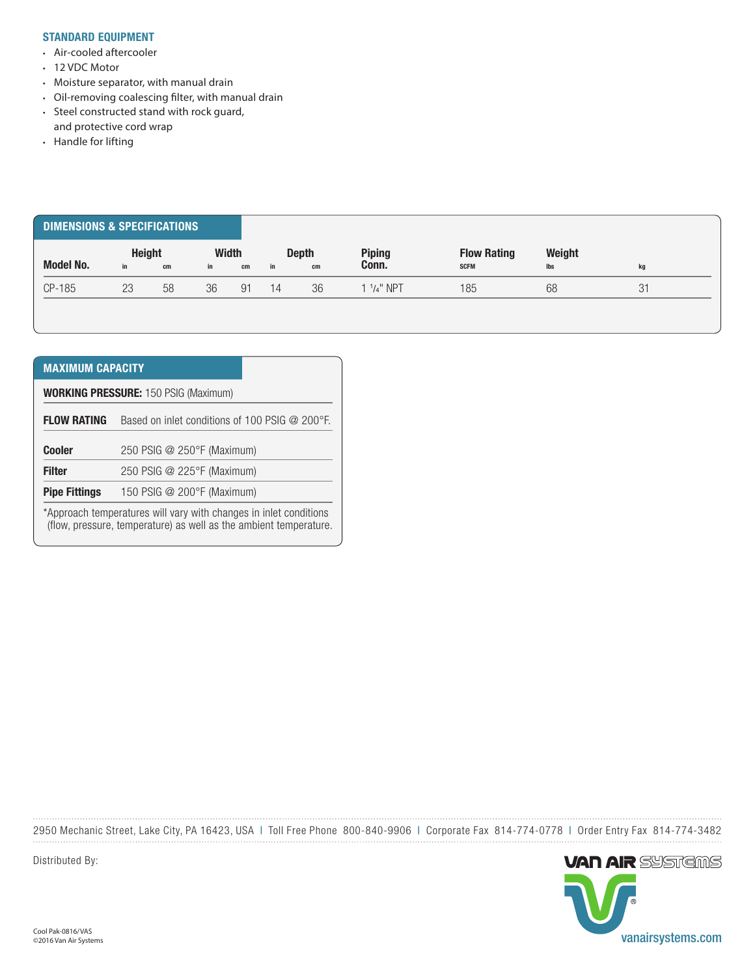#### STANDARD EQUIPMENT

- Air-cooled aftercooler
- 12 VDC Motor
- Moisture separator, with manual drain
- Oil-removing coalescing filter, with manual drain
- Steel constructed stand with rock guard,
- and protective cord wrap
- Handle for lifting

| <b>DIMENSIONS &amp; SPECIFICATIONS</b> |                     |    |                    |    |    |                    |                        |                                   |               |    |
|----------------------------------------|---------------------|----|--------------------|----|----|--------------------|------------------------|-----------------------------------|---------------|----|
| <b>Model No.</b>                       | <b>Height</b><br>in | cm | <b>Width</b><br>in | cm | in | <b>Depth</b><br>cm | <b>Piping</b><br>Conn. | <b>Flow Rating</b><br><b>SCFM</b> | Weight<br>lbs | kg |
| CP-185                                 | 23                  | 58 | 36                 | 91 | 14 | 36                 | 1 $1/4$ " NPT          | 185                               | 68            | 31 |

| <b>MAXIMUM CAPACITY</b>                                                                                                                |                                                             |  |  |  |  |  |  |  |  |
|----------------------------------------------------------------------------------------------------------------------------------------|-------------------------------------------------------------|--|--|--|--|--|--|--|--|
| <b>WORKING PRESSURE: 150 PSIG (Maximum)</b>                                                                                            |                                                             |  |  |  |  |  |  |  |  |
| <b>FLOW RATING</b>                                                                                                                     | Based on inlet conditions of 100 PSIG $@$ 200 $^{\circ}$ F. |  |  |  |  |  |  |  |  |
| <b>Cooler</b>                                                                                                                          | 250 PSIG @ 250°F (Maximum)                                  |  |  |  |  |  |  |  |  |
| <b>Filter</b>                                                                                                                          | 250 PSIG @ 225°F (Maximum)                                  |  |  |  |  |  |  |  |  |
| <b>Pipe Fittings</b>                                                                                                                   | 150 PSIG @ 200°F (Maximum)                                  |  |  |  |  |  |  |  |  |
| *Approach temperatures will vary with changes in inlet conditions<br>(flow, pressure, temperature) as well as the ambient temperature. |                                                             |  |  |  |  |  |  |  |  |

2950 Mechanic Street, Lake City, PA 16423, USA | Toll Free Phone 800-840-9906 | Corporate Fax 814-774-0778 | Order Entry Fax 814-774-3482



Distributed By: